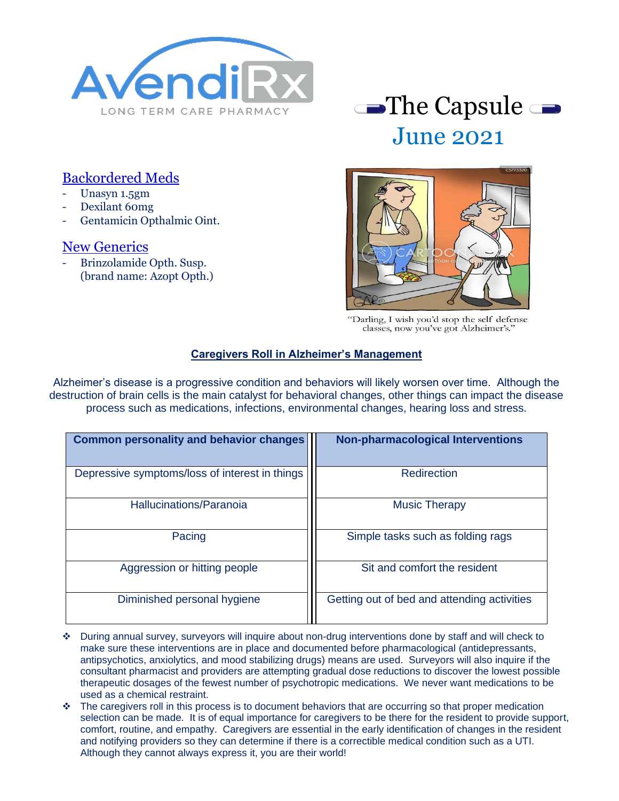

# June 2021

### Backordered Meds

- Unasyn 1.5gm
- Dexilant 60mg
- Gentamicin Opthalmic Oint.

#### New Generics

- Brinzolamide Opth. Susp. (brand name: Azopt Opth.)



"Darling, I wish you'd stop the self defense classes, now you've got Alzheimer's.'

#### **Caregivers Roll in Alzheimer's Management**

Alzheimer's disease is a progressive condition and behaviors will likely worsen over time. Although the destruction of brain cells is the main catalyst for behavioral changes, other things can impact the disease process such as medications, infections, environmental changes, hearing loss and stress.

| <b>Common personality and behavior changes</b> | <b>Non-pharmacological Interventions</b>    |  |
|------------------------------------------------|---------------------------------------------|--|
| Depressive symptoms/loss of interest in things | Redirection                                 |  |
| Hallucinations/Paranoia                        | <b>Music Therapy</b>                        |  |
| Pacing                                         | Simple tasks such as folding rags           |  |
| Aggression or hitting people                   | Sit and comfort the resident                |  |
| Diminished personal hygiene                    | Getting out of bed and attending activities |  |

- ❖ During annual survey, surveyors will inquire about non-drug interventions done by staff and will check to make sure these interventions are in place and documented before pharmacological (antidepressants, antipsychotics, anxiolytics, and mood stabilizing drugs) means are used. Surveyors will also inquire if the consultant pharmacist and providers are attempting gradual dose reductions to discover the lowest possible therapeutic dosages of the fewest number of psychotropic medications. We never want medications to be used as a chemical restraint.
- ❖ The caregivers roll in this process is to document behaviors that are occurring so that proper medication selection can be made. It is of equal importance for caregivers to be there for the resident to provide support, comfort, routine, and empathy. Caregivers are essential in the early identification of changes in the resident and notifying providers so they can determine if there is a correctible medical condition such as a UTI. Although they cannot always express it, you are their world!